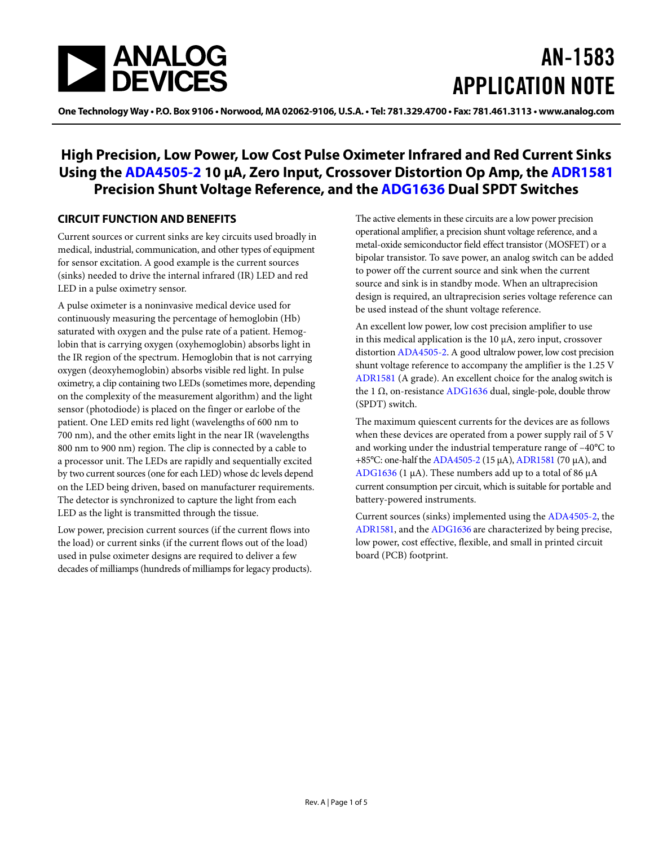

# AN-1583 APPLICATION NOTE

One Technology Way • P.O. Box 9106 • Norwood, MA 02062-9106, U.S.A. • Tel: 781.329.4700 • Fax: 781.461.3113 • www.analog.com

### **High Precision, Low Power, Low Cost Pulse Oximeter Infrared and Red Current Sinks Using the [ADA4505-2](http://www.analog.com/ADA4505-2?doc=AN-1583.pdf) 10 µA, Zero Input, Crossover Distortion Op Amp, the [ADR1581](http://www.analog.com/ADR1581?doc=AN-1583.pdf) Precision Shunt Voltage Reference, and the [ADG1636](http://www.analog.com/ADG1636?doc=AN-1583.pdf) Dual SPDT Switches**

#### <span id="page-0-0"></span>**CIRCUIT FUNCTION AND BENEFITS**

Current sources or current sinks are key circuits used broadly in medical, industrial, communication, and other types of equipment for sensor excitation. A good example is the current sources (sinks) needed to drive the internal infrared (IR) LED and red LED in a pulse oximetry sensor.

A pulse oximeter is a noninvasive medical device used for continuously measuring the percentage of hemoglobin (Hb) saturated with oxygen and the pulse rate of a patient. Hemoglobin that is carrying oxygen (oxyhemoglobin) absorbs light in the IR region of the spectrum. Hemoglobin that is not carrying oxygen (deoxyhemoglobin) absorbs visible red light. In pulse oximetry, a clip containing two LEDs (sometimes more, depending on the complexity of the measurement algorithm) and the light sensor (photodiode) is placed on the finger or earlobe of the patient. One LED emits red light (wavelengths of 600 nm to 700 nm), and the other emits light in the near IR (wavelengths 800 nm to 900 nm) region. The clip is connected by a cable to a processor unit. The LEDs are rapidly and sequentially excited by two current sources (one for each LED) whose dc levels depend on the LED being driven, based on manufacturer requirements. The detector is synchronized to capture the light from each LED as the light is transmitted through the tissue.

Low power, precision current sources (if the current flows into the load) or current sinks (if the current flows out of the load) used in pulse oximeter designs are required to deliver a few decades of milliamps (hundreds of milliamps for legacy products). The active elements in these circuits are a low power precision operational amplifier, a precision shunt voltage reference, and a metal-oxide semiconductor field effect transistor (MOSFET) or a bipolar transistor. To save power, an analog switch can be added to power off the current source and sink when the current source and sink is in standby mode. When an ultraprecision design is required, an ultraprecision series voltage reference can be used instead of the shunt voltage reference.

An excellent low power, low cost precision amplifier to use in this medical application is the 10 µA, zero input, crossover distortion [ADA4505-2.](http://www.analog.com/ADA4505-2?doc=AN-1583.pdf) A good ultralow power, low cost precision shunt voltage reference to accompany the amplifier is the 1.25 V [ADR1581](http://www.analog.com/ADR1581?doc=AN-1583.pdf) (A grade). An excellent choice for the analog switch is the 1 Ω, on-resistance [ADG1636](http://www.analog.com/ADG1636?doc=AN-1583.pdf) dual, single-pole, double throw (SPDT) switch.

The maximum quiescent currents for the devices are as follows when these devices are operated from a power supply rail of 5 V and working under the industrial temperature range of –40°C to +85°C: one-half th[e ADA4505-2](http://www.analog.com/ADA4505-2?doc=AN-1583.pdf) (15 µA), [ADR1581](http://www.analog.com/ADR1581?doc=AN-1583.pdf) (70 µA), and [ADG1636](http://www.analog.com/ADG1636?doc=AN-1583.pdf) (1  $\mu$ A). These numbers add up to a total of 86  $\mu$ A current consumption per circuit, which is suitable for portable and battery-powered instruments.

Current sources (sinks) implemented using the [ADA4505-2,](http://www.analog.com/ADA4505-2?doc=AN-1583.pdf) the [ADR1581,](http://www.analog.com/ADR1581?doc=AN-1583.pdf) and the [ADG1636](http://www.analog.com/ADG1636?doc=AN-1583.pdf) are characterized by being precise, low power, cost effective, flexible, and small in printed circuit board (PCB) footprint.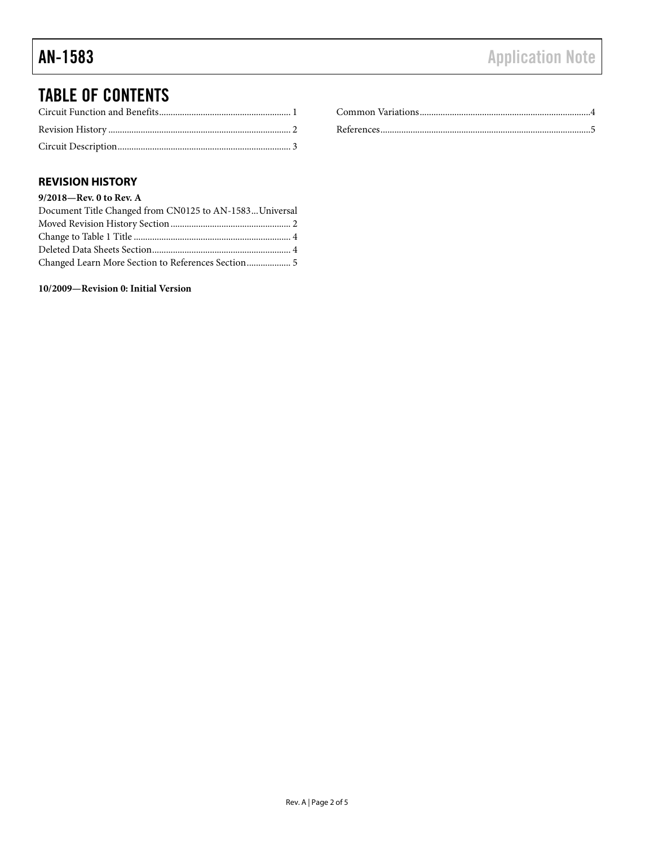## TABLE OF CONTENTS

### <span id="page-1-0"></span>**REVISION HISTORY**

#### **9/2018—Rev. 0 to Rev. A**

| Document Title Changed from CN0125 to AN-1583Universal |  |
|--------------------------------------------------------|--|
|                                                        |  |
|                                                        |  |
|                                                        |  |
| Changed Learn More Section to References Section 5     |  |

**10/2009—Revision 0: Initial Version**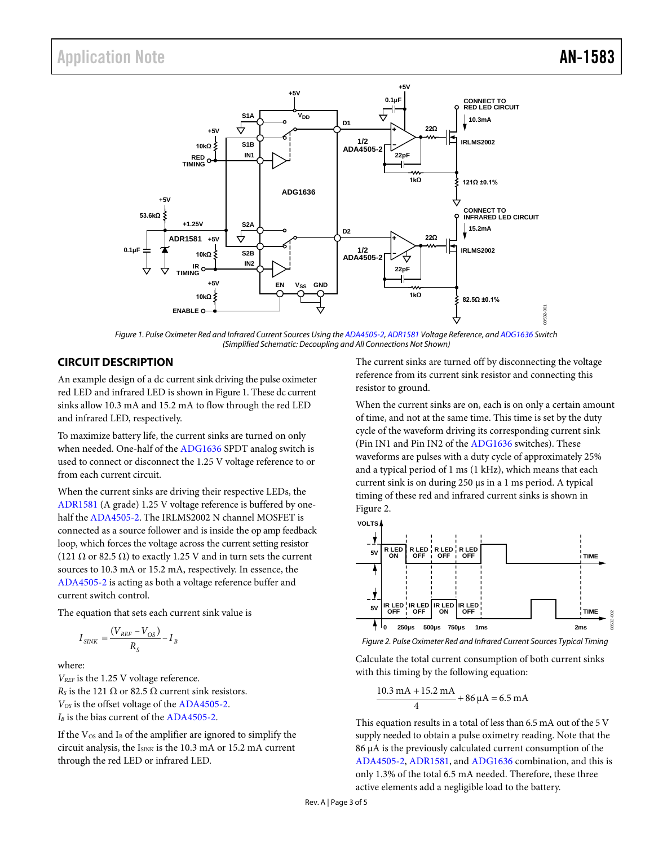### Application Note **AN-1583**



*Figure 1. Pulse Oximeter Red and Infrared Current Sources Using th[e ADA4505-2,](http://www.analog.com/ADA4505-2?doc=AN-1583.pdf) [ADR1581](http://www.analog.com/ADR1581?doc=AN-1583.pdf) Voltage Reference, an[d ADG1636](http://www.analog.com/ADG1636?doc=AN-1583.pdf) Switch (Simplified Schematic: Decoupling and All Connections Not Shown)*

#### <span id="page-2-1"></span><span id="page-2-0"></span>**CIRCUIT DESCRIPTION**

An example design of a dc current sink driving the pulse oximeter red LED and infrared LED is shown in [Figure 1.](#page-2-1) These dc current sinks allow 10.3 mA and 15.2 mA to flow through the red LED and infrared LED, respectively.

To maximize battery life, the current sinks are turned on only when needed. One-half of the [ADG1636](http://www.analog.com/ADG1636?doc=AN-1583.pdf) SPDT analog switch is used to connect or disconnect the 1.25 V voltage reference to or from each current circuit.

When the current sinks are driving their respective LEDs, the [ADR1581](http://www.analog.com/ADR1581?doc=AN-1583.pdf) (A grade) 1.25 V voltage reference is buffered by onehalf the [ADA4505-2.](http://www.analog.com/ADA4505-2?doc=AN-1583.pdf) The IRLMS2002 N channel MOSFET is connected as a source follower and is inside the op amp feedback loop, which forces the voltage across the current setting resistor (121  $\Omega$  or 82.5  $\Omega$ ) to exactly 1.25 V and in turn sets the current sources to 10.3 mA or 15.2 mA, respectively. In essence, the [ADA4505-2](http://www.analog.com/ADA4505-2?doc=AN-1583.pdf) is acting as both a voltage reference buffer and current switch control.

The equation that sets each current sink value is

$$
I_{SINK} = \frac{(V_{REF} - V_{OS})}{R_S} - I_B
$$

where:

*VREF* is the 1.25 V voltage reference.  $R<sub>S</sub>$  is the 121  $\Omega$  or 82.5  $\Omega$  current sink resistors. *VOS* is the offset voltage of th[e ADA4505-2.](http://www.analog.com/ADA4505-2?doc=AN-1583.pdf) *I<sub>B</sub>* is the bias current of the [ADA4505-2.](http://www.analog.com/ADA4505-2?doc=AN-1583.pdf)

If the  $V_{OS}$  and  $I_B$  of the amplifier are ignored to simplify the circuit analysis, the  $I_{\text{SINK}}$  is the 10.3 mA or 15.2 mA current through the red LED or infrared LED.

The current sinks are turned off by disconnecting the voltage reference from its current sink resistor and connecting this resistor to ground.

When the current sinks are on, each is on only a certain amount of time, and not at the same time. This time is set by the duty cycle of the waveform driving its corresponding current sink (Pin IN1 and Pin IN2 of the [ADG1636](http://www.analog.com/ADG1636?doc=AN-1583.pdf) switches). These waveforms are pulses with a duty cycle of approximately 25% and a typical period of 1 ms (1 kHz), which means that each current sink is on during 250 µs in a 1 ms period. A typical timing of these red and infrared current sinks is shown in [Figure 2.](#page-2-2)



<span id="page-2-2"></span>*Figure 2. Pulse Oximeter Red and Infrared Current Sources Typical Timing*

Calculate the total current consumption of both current sinks with this timing by the following equation:

$$
\frac{10.3 \text{ mA} + 15.2 \text{ mA}}{4} + 86 \text{ }\mu\text{A} = 6.5 \text{ mA}
$$

This equation results in a total of less than 6.5 mA out of the 5 V supply needed to obtain a pulse oximetry reading. Note that the 86 µA is the previously calculated current consumption of the [ADA4505-2,](http://www.analog.com/ADA4505-2?doc=AN-1583.pdf) [ADR1581,](http://www.analog.com/ADR1581?doc=AN-1583.pdf) an[d ADG1636](http://www.analog.com/ADG1636?doc=AN-1583.pdf) combination, and this is only 1.3% of the total 6.5 mA needed. Therefore, these three active elements add a negligible load to the battery.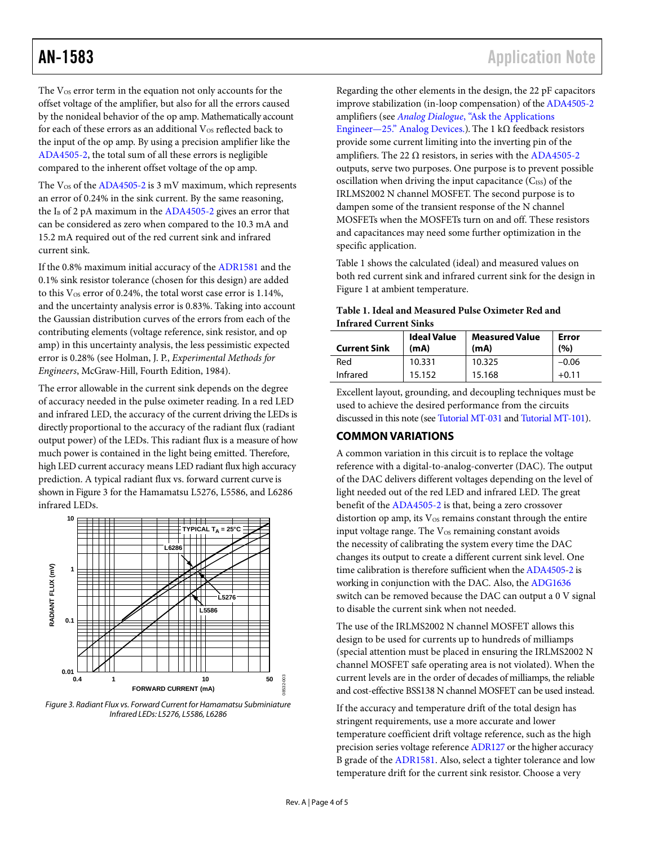The  $V_{OS}$  error term in the equation not only accounts for the offset voltage of the amplifier, but also for all the errors caused by the nonideal behavior of the op amp. Mathematically account for each of these errors as an additional  $V_{OS}$  reflected back to the input of the op amp. By using a precision amplifier like the [ADA4505-2,](http://www.analog.com/ADA4505-2?doc=AN-1583.pdf) the total sum of all these errors is negligible compared to the inherent offset voltage of the op amp.

The  $V_{OS}$  of the [ADA4505-2](http://www.analog.com/ADA4505-2?doc=AN-1583.pdf) is 3 mV maximum, which represents an error of 0.24% in the sink current. By the same reasoning, the  $I_B$  of 2 pA maximum in th[e ADA4505-2](http://www.analog.com/ADA4505-2?doc=AN-1583.pdf) gives an error that can be considered as zero when compared to the 10.3 mA and 15.2 mA required out of the red current sink and infrared current sink.

If the 0.8% maximum initial accuracy of th[e ADR1581](http://www.analog.com/ADR1581?doc=AN-1583.pdf) and the 0.1% sink resistor tolerance (chosen for this design) are added to this  $V_{OS}$  error of 0.24%, the total worst case error is 1.14%, and the uncertainty analysis error is 0.83%. Taking into account the Gaussian distribution curves of the errors from each of the contributing elements (voltage reference, sink resistor, and op amp) in this uncertainty analysis, the less pessimistic expected error is 0.28% (see Holman, J. P., *Experimental Methods for Engineers*, McGraw-Hill, Fourth Edition, 1984).

The error allowable in the current sink depends on the degree of accuracy needed in the pulse oximeter reading. In a red LED and infrared LED, the accuracy of the current driving the LEDs is directly proportional to the accuracy of the radiant flux (radiant output power) of the LEDs. This radiant flux is a measure of how much power is contained in the light being emitted. Therefore, high LED current accuracy means LED radiant flux high accuracy prediction. A typical radiant flux vs. forward current curve is shown i[n Figure](#page-3-1) 3 for the Hamamatsu L5276, L5586, and L6286 infrared LEDs.



<span id="page-3-1"></span>*Figure 3. Radiant Flux vs. Forward Current for Hamamatsu Subminiature Infrared LEDs: L5276, L5586, L6286*

Regarding the other elements in the design, the 22 pF capacitors improve stabilization (in-loop compensation) of the [ADA4505-2](http://www.analog.com/ADA4505-2?doc=AN-1583.pdf) amplifiers (see *Analog Dialogue*[, "Ask the Applications](http://www.analog.com/library/analogDialogue/archives/31-2/appleng.html?doc=AN-1583.pdf)  [Engineer—25." Analog Devices.\)](http://www.analog.com/library/analogDialogue/archives/31-2/appleng.html?doc=AN-1583.pdf). The 1 kΩ feedback resistors provide some current limiting into the inverting pin of the amplifiers. The 22  $\Omega$  resistors, in series with the [ADA4505-2](http://www.analog.com/ADA4505-2?doc=AN-1583.pdf) outputs, serve two purposes. One purpose is to prevent possible oscillation when driving the input capacitance  $(C_{ISS})$  of the IRLMS2002 N channel MOSFET. The second purpose is to dampen some of the transient response of the N channel MOSFETs when the MOSFETs turn on and off. These resistors and capacitances may need some further optimization in the specific application.

[Table 1](#page-3-2) shows the calculated (ideal) and measured values on both red current sink and infrared current sink for the design in [Figure 1](#page-2-1) at ambient temperature.

#### <span id="page-3-2"></span>**Table 1. Ideal and Measured Pulse Oximeter Red and Infrared Current Sinks**

| <b>Current Sink</b> | <b>Ideal Value</b><br>(mA) | <b>Measured Value</b><br>(mA) | Error<br>(%) |
|---------------------|----------------------------|-------------------------------|--------------|
| Red                 | 10.331                     | 10.325                        | $-0.06$      |
| Infrared            | 15.152                     | 15.168                        | $+0.11$      |

Excellent layout, grounding, and decoupling techniques must be used to achieve the desired performance from the circuits discussed in this note (se[e Tutorial MT-031](http://www.analog.com/media/en/training-seminars/tutorials/MT-031.pdf?doc=AN-1583.pdf) and [Tutorial MT-101\)](http://www.analog.com/media/en/training-seminars/tutorials/MT-101.pdf?doc=AN-1583.pdf).

#### <span id="page-3-0"></span>**COMMON VARIATIONS**

A common variation in this circuit is to replace the voltage reference with a digital-to-analog-converter (DAC). The output of the DAC delivers different voltages depending on the level of light needed out of the red LED and infrared LED. The great benefit of the [ADA4505-2](http://www.analog.com/ADA4505-2?doc=AN-1583.pdf) is that, being a zero crossover distortion op amp, its  $V_{OS}$  remains constant through the entire input voltage range. The  $V_{OS}$  remaining constant avoids the necessity of calibrating the system every time the DAC changes its output to create a different current sink level. One time calibration is therefore sufficient when th[e ADA4505-2](http://www.analog.com/ADA4505-2?doc=AN-1583.pdf) is working in conjunction with the DAC. Also, the [ADG1636](http://www.analog.com/ADG1636?doc=AN-1583.pdf) switch can be removed because the DAC can output a 0 V signal to disable the current sink when not needed.

The use of the IRLMS2002 N channel MOSFET allows this design to be used for currents up to hundreds of milliamps (special attention must be placed in ensuring the IRLMS2002 N channel MOSFET safe operating area is not violated). When the current levels are in the order of decades of milliamps, the reliable and cost-effective BSS138 N channel MOSFET can be used instead.

If the accuracy and temperature drift of the total design has stringent requirements, use a more accurate and lower temperature coefficient drift voltage reference, such as the high precision series voltage reference [ADR127](http://www.analog.com/ADR127?doc=AN-1583.pdf) or the higher accuracy B grade of the [ADR1581.](http://www.analog.com/ADR1581?doc=AN-1583.pdf) Also, select a tighter tolerance and low temperature drift for the current sink resistor. Choose a very